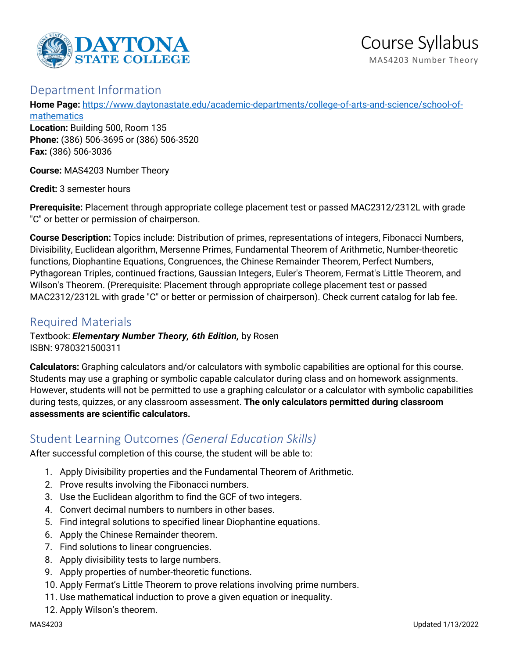

# Department Information

**Home Page:** [https://www.daytonastate.edu/academic-departments/college-of-arts-and-science/school-of](https://www.daytonastate.edu/academic-departments/college-of-arts-and-science/school-of-mathematics)[mathematics](https://www.daytonastate.edu/academic-departments/college-of-arts-and-science/school-of-mathematics)

**Location:** Building 500, Room 135 **Phone:** (386) 506-3695 or (386) 506-3520 **Fax:** (386) 506-3036

**Course:** MAS4203 Number Theory

**Credit:** 3 semester hours

**Prerequisite:** Placement through appropriate college placement test or passed MAC2312/2312L with grade "C" or better or permission of chairperson.

**Course Description:** Topics include: Distribution of primes, representations of integers, Fibonacci Numbers, Divisibility, Euclidean algorithm, Mersenne Primes, Fundamental Theorem of Arithmetic, Number-theoretic functions, Diophantine Equations, Congruences, the Chinese Remainder Theorem, Perfect Numbers, Pythagorean Triples, continued fractions, Gaussian Integers, Euler's Theorem, Fermat's Little Theorem, and Wilson's Theorem. (Prerequisite: Placement through appropriate college placement test or passed MAC2312/2312L with grade "C" or better or permission of chairperson). Check current catalog for lab fee.

# Required Materials

Textbook: *Elementary Number Theory, 6th Edition,* by Rosen ISBN: 9780321500311

**Calculators:** Graphing calculators and/or calculators with symbolic capabilities are optional for this course. Students may use a graphing or symbolic capable calculator during class and on homework assignments. However, students will not be permitted to use a graphing calculator or a calculator with symbolic capabilities during tests, quizzes, or any classroom assessment. **The only calculators permitted during classroom assessments are scientific calculators.**

# Student Learning Outcomes *(General Education Skills)*

After successful completion of this course, the student will be able to:

- 1. Apply Divisibility properties and the Fundamental Theorem of Arithmetic.
- 2. Prove results involving the Fibonacci numbers.
- 3. Use the Euclidean algorithm to find the GCF of two integers.
- 4. Convert decimal numbers to numbers in other bases.
- 5. Find integral solutions to specified linear Diophantine equations.
- 6. Apply the Chinese Remainder theorem.
- 7. Find solutions to linear congruencies.
- 8. Apply divisibility tests to large numbers.
- 9. Apply properties of number-theoretic functions.
- 10. Apply Fermat's Little Theorem to prove relations involving prime numbers.
- 11. Use mathematical induction to prove a given equation or inequality.
- 12. Apply Wilson's theorem.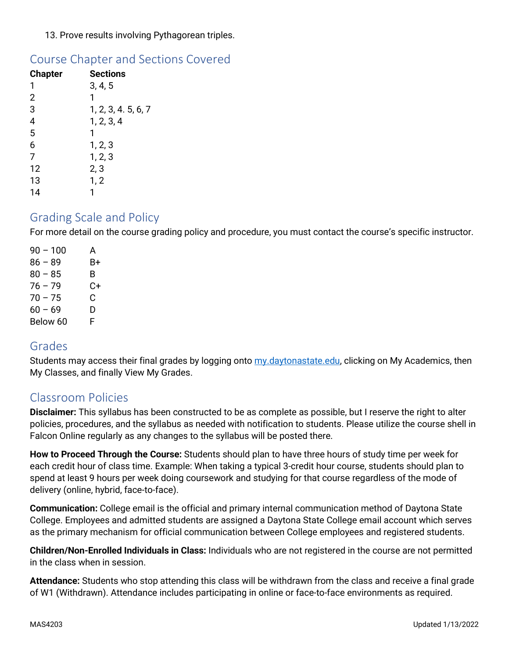### 13. Prove results involving Pythagorean triples.

## Course Chapter and Sections Covered

| <b>Chapter</b>          | <b>Sections</b>     |
|-------------------------|---------------------|
| 1                       | 3, 4, 5             |
| $\overline{2}$          | 1                   |
| 3                       | 1, 2, 3, 4. 5, 6, 7 |
| $\overline{\mathbf{r}}$ | 1, 2, 3, 4          |
| $\overline{5}$          | 1                   |
| 6                       | 1, 2, 3             |
| $\overline{7}$          | 1, 2, 3             |
| 12                      | 2, 3                |
| 13                      | 1, 2                |
| 14                      |                     |

## Grading Scale and Policy

For more detail on the course grading policy and procedure, you must contact the course's specific instructor.

 $90 - 100$  A  $86 - 89$  B+  $80 - 85$  B  $76 - 79$  C+  $70 - 75$  C  $60 - 69$  D Below 60 F

## Grades

Students may access their final grades by logging onto [my.daytonastate.edu,](https://my.daytonastate.edu/) clicking on My Academics, then My Classes, and finally View My Grades.

# Classroom Policies

**Disclaimer:** This syllabus has been constructed to be as complete as possible, but I reserve the right to alter policies, procedures, and the syllabus as needed with notification to students. Please utilize the course shell in Falcon Online regularly as any changes to the syllabus will be posted there.

**How to Proceed Through the Course:** Students should plan to have three hours of study time per week for each credit hour of class time. Example: When taking a typical 3-credit hour course, students should plan to spend at least 9 hours per week doing coursework and studying for that course regardless of the mode of delivery (online, hybrid, face-to-face).

**Communication:** College email is the official and primary internal communication method of Daytona State College. Employees and admitted students are assigned a Daytona State College email account which serves as the primary mechanism for official communication between College employees and registered students.

**Children/Non-Enrolled Individuals in Class:** Individuals who are not registered in the course are not permitted in the class when in session.

**Attendance:** Students who stop attending this class will be withdrawn from the class and receive a final grade of W1 (Withdrawn). Attendance includes participating in online or face-to-face environments as required.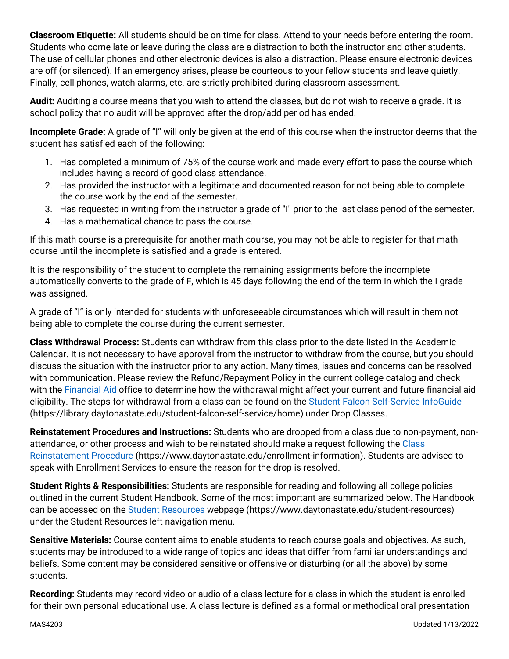**Classroom Etiquette:** All students should be on time for class. Attend to your needs before entering the room. Students who come late or leave during the class are a distraction to both the instructor and other students. The use of cellular phones and other electronic devices is also a distraction. Please ensure electronic devices are off (or silenced). If an emergency arises, please be courteous to your fellow students and leave quietly. Finally, cell phones, watch alarms, etc. are strictly prohibited during classroom assessment.

**Audit:** Auditing a course means that you wish to attend the classes, but do not wish to receive a grade. It is school policy that no audit will be approved after the drop/add period has ended.

**Incomplete Grade:** A grade of "I" will only be given at the end of this course when the instructor deems that the student has satisfied each of the following:

- 1. Has completed a minimum of 75% of the course work and made every effort to pass the course which includes having a record of good class attendance.
- 2. Has provided the instructor with a legitimate and documented reason for not being able to complete the course work by the end of the semester.
- 3. Has requested in writing from the instructor a grade of "I" prior to the last class period of the semester.
- 4. Has a mathematical chance to pass the course.

If this math course is a prerequisite for another math course, you may not be able to register for that math course until the incomplete is satisfied and a grade is entered.

It is the responsibility of the student to complete the remaining assignments before the incomplete automatically converts to the grade of F, which is 45 days following the end of the term in which the I grade was assigned.

A grade of "I" is only intended for students with unforeseeable circumstances which will result in them not being able to complete the course during the current semester.

**Class Withdrawal Process:** Students can withdraw from this class prior to the date listed in the Academic Calendar. It is not necessary to have approval from the instructor to withdraw from the course, but you should discuss the situation with the instructor prior to any action. Many times, issues and concerns can be resolved with communication. Please review the Refund/Repayment Policy in the current college catalog and check with the [Financial Aid](https://www.daytonastate.edu/financial-aid) office to determine how the withdrawal might affect your current and future financial aid eligibility. The steps for withdrawal from a class can be found on the [Student Falcon Self-Service InfoGuide](https://library.daytonastate.edu/student-falcon-self-service/home) (https://library.daytonastate.edu/student-falcon-self-service/home) under Drop Classes.

**Reinstatement Procedures and Instructions:** Students who are dropped from a class due to non-payment, nonattendance, or other process and wish to be reinstated should make a request following the [Class](https://www.daytonastate.edu/enrollment-information/index.html)  [Reinstatement Procedure](https://www.daytonastate.edu/enrollment-information/index.html) (https://www.daytonastate.edu/enrollment-information). Students are advised to speak with Enrollment Services to ensure the reason for the drop is resolved.

**Student Rights & Responsibilities:** Students are responsible for reading and following all college policies outlined in the current Student Handbook. Some of the most important are summarized below. The Handbook can be accessed on the [Student Resources](https://www.daytonastate.edu/student-resources) webpage (https://www.daytonastate.edu/student-resources) under the Student Resources left navigation menu.

**Sensitive Materials:** Course content aims to enable students to reach course goals and objectives. As such, students may be introduced to a wide range of topics and ideas that differ from familiar understandings and beliefs. Some content may be considered sensitive or offensive or disturbing (or all the above) by some students.

**Recording:** Students may record video or audio of a class lecture for a class in which the student is enrolled for their own personal educational use. A class lecture is defined as a formal or methodical oral presentation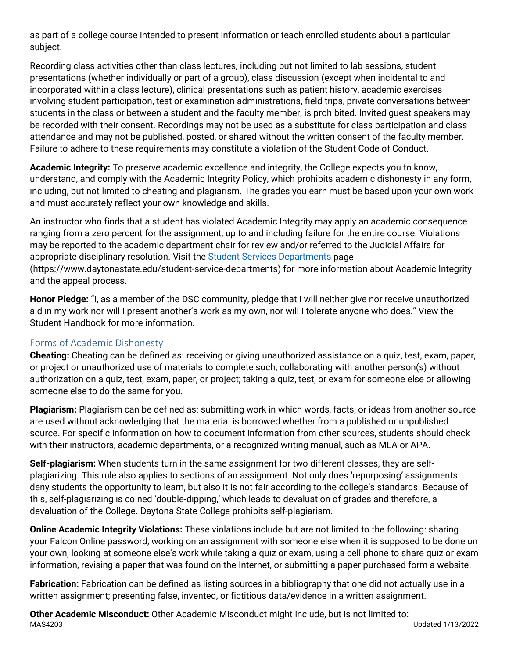as part of a college course intended to present information or teach enrolled students about a particular subject.

Recording class activities other than class lectures, including but not limited to lab sessions, student presentations (whether individually or part of a group), class discussion (except when incidental to and incorporated within a class lecture), clinical presentations such as patient history, academic exercises involving student participation, test or examination administrations, field trips, private conversations between students in the class or between a student and the faculty member, is prohibited. Invited guest speakers may be recorded with their consent. Recordings may not be used as a substitute for class participation and class attendance and may not be published, posted, or shared without the written consent of the faculty member. Failure to adhere to these requirements may constitute a violation of the Student Code of Conduct.

**Academic Integrity:** To preserve academic excellence and integrity, the College expects you to know, understand, and comply with the Academic Integrity Policy, which prohibits academic dishonesty in any form, including, but not limited to cheating and plagiarism. The grades you earn must be based upon your own work and must accurately reflect your own knowledge and skills.

An instructor who finds that a student has violated Academic Integrity may apply an academic consequence ranging from a zero percent for the assignment, up to and including failure for the entire course. Violations may be reported to the academic department chair for review and/or referred to the Judicial Affairs for appropriate disciplinary resolution. Visit the [Student Services Departments](https://www.daytonastate.edu/student-service-departments) page (https://www.daytonastate.edu/student-service-departments) for more information about Academic Integrity and the appeal process.

**Honor Pledge:** "I, as a member of the DSC community, pledge that I will neither give nor receive unauthorized aid in my work nor will I present another's work as my own, nor will I tolerate anyone who does." View the Student Handbook for more information.

### Forms of Academic Dishonesty

**Cheating:** Cheating can be defined as: receiving or giving unauthorized assistance on a quiz, test, exam, paper, or project or unauthorized use of materials to complete such; collaborating with another person(s) without authorization on a quiz, test, exam, paper, or project; taking a quiz, test, or exam for someone else or allowing someone else to do the same for you.

**Plagiarism:** Plagiarism can be defined as: submitting work in which words, facts, or ideas from another source are used without acknowledging that the material is borrowed whether from a published or unpublished source. For specific information on how to document information from other sources, students should check with their instructors, academic departments, or a recognized writing manual, such as MLA or APA.

**Self-plagiarism:** When students turn in the same assignment for two different classes, they are selfplagiarizing. This rule also applies to sections of an assignment. Not only does 'repurposing' assignments deny students the opportunity to learn, but also it is not fair according to the college's standards. Because of this, self-plagiarizing is coined 'double-dipping,' which leads to devaluation of grades and therefore, a devaluation of the College. Daytona State College prohibits self-plagiarism.

**Online Academic Integrity Violations:** These violations include but are not limited to the following: sharing your Falcon Online password, working on an assignment with someone else when it is supposed to be done on your own, looking at someone else's work while taking a quiz or exam, using a cell phone to share quiz or exam information, revising a paper that was found on the Internet, or submitting a paper purchased form a website.

**Fabrication:** Fabrication can be defined as listing sources in a bibliography that one did not actually use in a written assignment; presenting false, invented, or fictitious data/evidence in a written assignment.

MAS4203 Updated 1/13/2022 **Other Academic Misconduct:** Other Academic Misconduct might include, but is not limited to: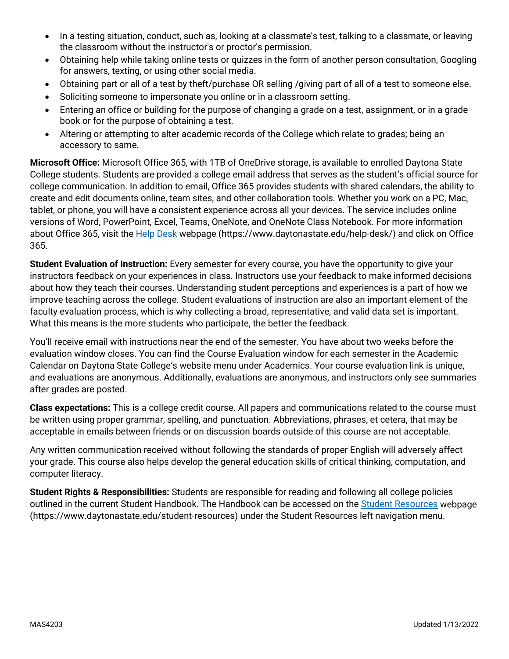- In a testing situation, conduct, such as, looking at a classmate's test, talking to a classmate, or leaving the classroom without the instructor's or proctor's permission.
- Obtaining help while taking online tests or quizzes in the form of another person consultation, Googling for answers, texting, or using other social media.
- Obtaining part or all of a test by theft/purchase OR selling /giving part of all of a test to someone else.
- Soliciting someone to impersonate you online or in a classroom setting.
- Entering an office or building for the purpose of changing a grade on a test, assignment, or in a grade book or for the purpose of obtaining a test.
- Altering or attempting to alter academic records of the College which relate to grades; being an accessory to same.

**Microsoft Office:** Microsoft Office 365, with 1TB of OneDrive storage, is available to enrolled Daytona State College students. Students are provided a college email address that serves as the student's official source for college communication. In addition to email, Office 365 provides students with shared calendars, the ability to create and edit documents online, team sites, and other collaboration tools. Whether you work on a PC, Mac, tablet, or phone, you will have a consistent experience across all your devices. The service includes online versions of Word, PowerPoint, Excel, Teams, OneNote, and OneNote Class Notebook. For more information about Office 365, visit the [Help Desk](https://www.daytonastate.edu/help-desk/) webpage (https://www.daytonastate.edu/help-desk/) and click on Office 365.

**Student Evaluation of Instruction:** Every semester for every course, you have the opportunity to give your instructors feedback on your experiences in class. Instructors use your feedback to make informed decisions about how they teach their courses. Understanding student perceptions and experiences is a part of how we improve teaching across the college. Student evaluations of instruction are also an important element of the faculty evaluation process, which is why collecting a broad, representative, and valid data set is important. What this means is the more students who participate, the better the feedback.

You'll receive email with instructions near the end of the semester. You have about two weeks before the evaluation window closes. You can find the Course Evaluation window for each semester in the Academic Calendar on Daytona State College's website menu under Academics. Your course evaluation link is unique, and evaluations are anonymous. Additionally, evaluations are anonymous, and instructors only see summaries after grades are posted.

**Class expectations:** This is a college credit course. All papers and communications related to the course must be written using proper grammar, spelling, and punctuation. Abbreviations, phrases, et cetera, that may be acceptable in emails between friends or on discussion boards outside of this course are not acceptable.

Any written communication received without following the standards of proper English will adversely affect your grade. This course also helps develop the general education skills of critical thinking, computation, and computer literacy.

**Student Rights & Responsibilities:** Students are responsible for reading and following all college policies outlined in the current Student Handbook. The Handbook can be accessed on the [Student Resources](https://www.daytonastate.edu/student-resources) webpage (https://www.daytonastate.edu/student-resources) under the Student Resources left navigation menu.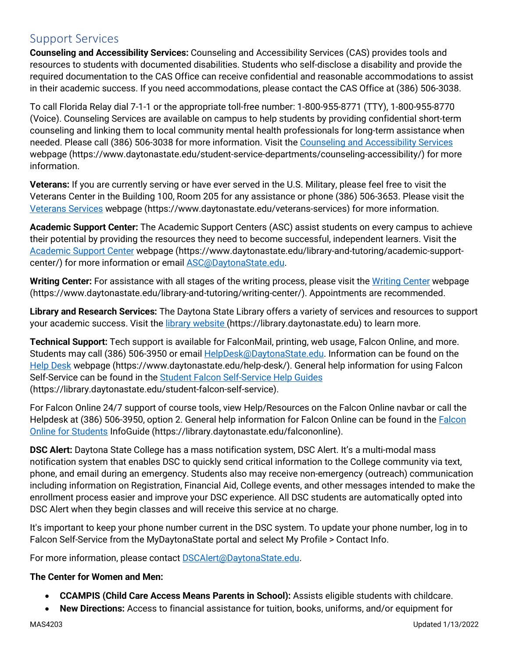# Support Services

**Counseling and Accessibility Services:** Counseling and Accessibility Services (CAS) provides tools and resources to students with documented disabilities. Students who self-disclose a disability and provide the required documentation to the CAS Office can receive confidential and reasonable accommodations to assist in their academic success. If you need accommodations, please contact the CAS Office at (386) 506-3038.

To call Florida Relay dial 7-1-1 or the appropriate toll-free number: 1-800-955-8771 (TTY), 1-800-955-8770 (Voice). Counseling Services are available on campus to help students by providing confidential short-term counseling and linking them to local community mental health professionals for long-term assistance when needed. Please call (386) 506-3038 for more information. Visit the [Counseling and Accessibility Services](https://www.daytonastate.edu/student-service-departments/counseling-accessibility/) webpage (https://www.daytonastate.edu/student-service-departments/counseling-accessibility/) for more information.

**Veterans:** If you are currently serving or have ever served in the U.S. Military, please feel free to visit the Veterans Center in the Building 100, Room 205 for any assistance or phone (386) 506-3653. Please visit the [Veterans Services](https://www.daytonastate.edu/veterans-services) webpage (https://www.daytonastate.edu/veterans-services) for more information.

**Academic Support Center:** The Academic Support Centers (ASC) assist students on every campus to achieve their potential by providing the resources they need to become successful, independent learners. Visit the [Academic Support Center](https://www.daytonastate.edu/library-and-tutoring/academic-support-center/index.html) webpage (https://www.daytonastate.edu/library-and-tutoring/academic-supportcenter/) for more information or email [ASC@DaytonaState.edu.](mailto:ASC@DaytonaState.edu)

**Writing Center:** For assistance with all stages of the writing process, please visit the [Writing Center](https://www.daytonastate.edu/library-and-tutoring/writing-center/) webpage (https://www.daytonastate.edu/library-and-tutoring/writing-center/). Appointments are recommended.

**Library and Research Services:** The Daytona State Library offers a variety of services and resources to support your academic success. Visit the [library website \(](https://library.daytonastate.edu/index)https://library.daytonastate.edu) to learn more.

**Technical Support:** Tech support is available for FalconMail, printing, web usage, Falcon Online, and more. Students may call (386) 506-3950 or email [HelpDesk@DaytonaState.edu.](mailto:HelpDesk@DaytonaState.edu) Information can be found on the [Help Desk](https://www.daytonastate.edu/help-desk/) webpage (https://www.daytonastate.edu/help-desk/). General help information for using Falcon Self-Service can be found in the [Student Falcon Self-Service Help Guides](https://library.daytonastate.edu/student-falcon-self-service) (https://library.daytonastate.edu/student-falcon-self-service).

For Falcon Online 24/7 support of course tools, view Help/Resources on the Falcon Online navbar or call the Helpdesk at (386) 506-3950, option 2. General help information for [Falcon](https://library.daytonastate.edu/falcononline) Online can be found in the Falcon [Online for Students](https://library.daytonastate.edu/falcononline) InfoGuide (https://library.daytonastate.edu/falcononline).

**DSC Alert:** Daytona State College has a mass notification system, DSC Alert. It's a multi-modal mass notification system that enables DSC to quickly send critical information to the College community via text, phone, and email during an emergency. Students also may receive non-emergency (outreach) communication including information on Registration, Financial Aid, College events, and other messages intended to make the enrollment process easier and improve your DSC experience. All DSC students are automatically opted into DSC Alert when they begin classes and will receive this service at no charge.

It's important to keep your phone number current in the DSC system. To update your phone number, log in to Falcon Self-Service from the MyDaytonaState portal and select My Profile > Contact Info.

For more information, please contact **DSCAlert**@DaytonaState.edu.

#### **The Center for Women and Men:**

- **CCAMPIS (Child Care Access Means Parents in School):** Assists eligible students with childcare.
- **New Directions:** Access to financial assistance for tuition, books, uniforms, and/or equipment for